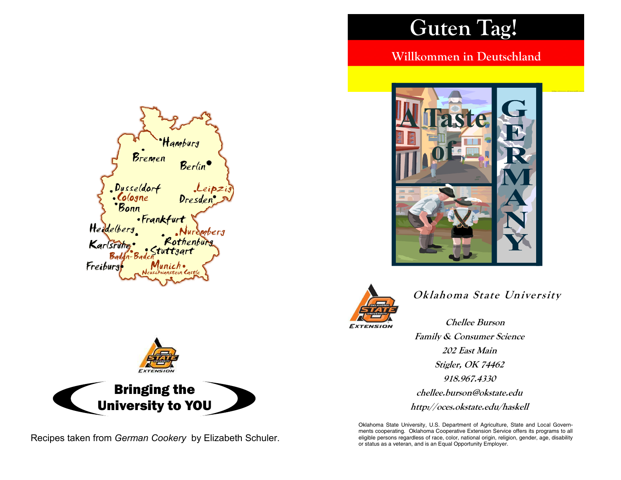# Guten Tag!

Willkommen in Deutschland





## Oklahoma State University

Chellee Burson Family & Consumer Science 202 East Main Stigler, OK 74462 918.967.4330 chellee.burson@okstate.edu http://oces.okstate.edu/haskell

Oklahoma State University, U.S. Department of Agriculture, State and Local Governments cooperating. Oklahoma Cooperative Extension Service offers its programs to all eligible persons regardless of race, color, national origin, religion, gender, age, disability or status as a veteran, and is an Equal Opportunity Employer.





Recipes taken from German Cookery by Elizabeth Schuler.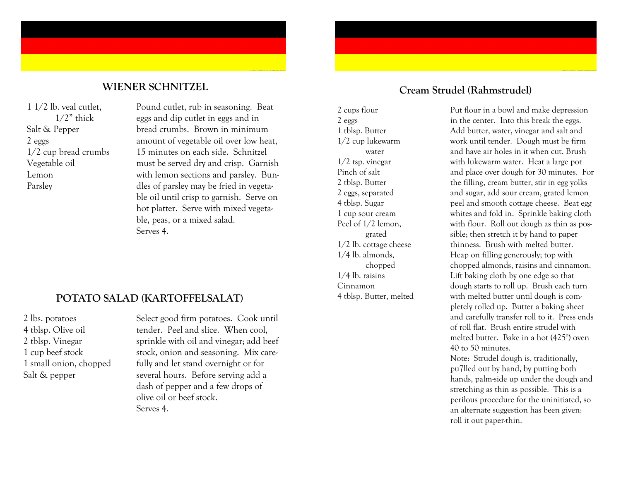#### WIENER SCHNITZEL

1 1/2 lb. veal cutlet,  $1/2$ " thick Salt & Pepper 2 eggs 1/2 cup bread crumbs Vegetable oil Lemon Parsley

Pound cutlet, rub in seasoning. Beat eggs and dip cutlet in eggs and in bread crumbs. Brown in minimum amount of vegetable oil over low heat, 15 minutes on each side. Schnitzel must be served dry and crisp. Garnish with lemon sections and parsley. Bundles of parsley may be fried in vegetable oil until crisp to garnish. Serve on hot platter. Serve with mixed vegetable, peas, or a mixed salad. Serves 4.

### POTATO SALAD (KARTOFFELSALAT)

2 lbs. potatoes 4 tblsp. Olive oil 2 tblsp. Vinegar 1 cup beef stock 1 small onion, chopped Salt & pepper

Select good firm potatoes. Cook until tender. Peel and slice. When cool, sprinkle with oil and vinegar; add beef stock, onion and seasoning. Mix carefully and let stand overnight or for several hours. Before serving add a dash of pepper and a few drops of olive oil or beef stock. Serves 4.

#### Cream Strudel (Rahmstrudel)

2 cups flour 2 eggs 1 tblsp. Butter 1/2 cup lukewarm water 1/2 tsp. vinegar Pinch of salt 2 tblsp. Butter 2 eggs, separated 4 tblsp. Sugar 1 cup sour cream Peel of 1/2 lemon, grated 1/2 lb. cottage cheese 1/4 lb. almonds, chopped 1/4 lb. raisins Cinnamon 4 tblsp. Butter, melted

Put flour in a bowl and make depression in the center. Into this break the eggs. Add butter, water, vinegar and salt and work until tender. Dough must be firm and have air holes in it when cut. Brush with lukewarm water. Heat a large pot and place over dough for 30 minutes. For the filling, cream butter, stir in egg yolks and sugar, add sour cream, grated lemon peel and smooth cottage cheese. Beat egg whites and fold in. Sprinkle baking cloth with flour. Roll out dough as thin as possible; then stretch it by hand to paper thinness. Brush with melted butter. Heap on filling generously; top with chopped almonds, raisins and cinnamon. Lift baking cloth by one edge so that dough starts to roll up. Brush each turn with melted butter until dough is completely rolled up. Butter a baking sheet and carefully transfer roll to it. Press ends of roll flat. Brush entire strudel with melted butter. Bake in a hot (425°) oven 40 to 50 minutes.

 Note: Strudel dough is, traditionally, pu7lled out by hand, by putting both hands, palm-side up under the dough and stretching as thin as possible. This is a perilous procedure for the uninitiated, so an alternate suggestion has been given: roll it out paper-thin.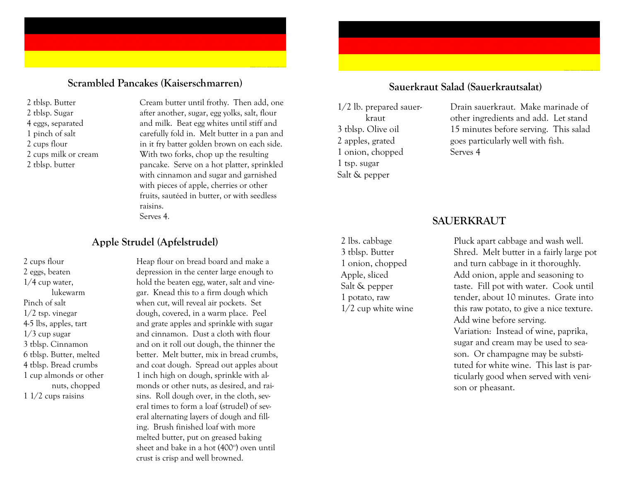#### Scrambled Pancakes (Kaiserschmarren)

2 tblsp. Butter 2 tblsp. Sugar 4 eggs, separated 1 pinch of salt 2 cups flour 2 cups milk or cream 2 tblsp. butter

Cream butter until frothy. Then add, one after another, sugar, egg yolks, salt, flour and milk. Beat egg whites until stiff and carefully fold in. Melt butter in a pan and in it fry batter golden brown on each side. With two forks, chop up the resulting pancake. Serve on a hot platter, sprinkled with cinnamon and sugar and garnished with pieces of apple, cherries or other fruits, sautéed in butter, or with seedless raisins. Serves 4.

#### Apple Strudel (Apfelstrudel)

2 cups flour 2 eggs, beaten 1/4 cup water, lukewarm Pinch of salt 1/2 tsp. vinegar 4-5 lbs, apples, tart  $1/3$  cup sugar 3 tblsp. Cinnamon 6 tblsp. Butter, melted 4 tblsp. Bread crumbs 1 cup almonds or other nuts, chopped 1 1/2 cups raisins

Heap flour on bread board and make a depression in the center large enough to hold the beaten egg, water, salt and vinegar. Knead this to a firm dough which when cut, will reveal air pockets. Set dough, covered, in a warm place. Peel and grate apples and sprinkle with sugar and cinnamon. Dust a cloth with flour and on it roll out dough, the thinner the better. Melt butter, mix in bread crumbs, and coat dough. Spread out apples about 1 inch high on dough, sprinkle with almonds or other nuts, as desired, and raisins. Roll dough over, in the cloth, several times to form a loaf (strudel) of several alternating layers of dough and filling. Brush finished loaf with more melted butter, put on greased baking sheet and bake in a hot (400°) oven until crust is crisp and well browned.

#### Sauerkraut Salad (Sauerkrautsalat)

1/2 lb. prepared sauer kraut 3 tblsp. Olive oil 2 apples, grated 1 onion, chopped 1 tsp. sugar Salt & pepper

2 lbs. cabbage 3 tblsp. Butter 1 onion, chopped Apple, sliced Salt & pepper 1 potato, raw

1/2 cup white wine

Drain sauerkraut. Make marinade of other ingredients and add. Let stand 15 minutes before serving. This salad goes particularly well with fish. Serves 4

#### SAUERKRAUT

Pluck apart cabbage and wash well. Shred. Melt butter in a fairly large pot and turn cabbage in it thoroughly. Add onion, apple and seasoning to taste. Fill pot with water. Cook until tender, about 10 minutes. Grate into this raw potato, to give a nice texture. Add wine before serving. Variation: Instead of wine, paprika, sugar and cream may be used to season. Or champagne may be substituted for white wine. This last is particularly good when served with venison or pheasant.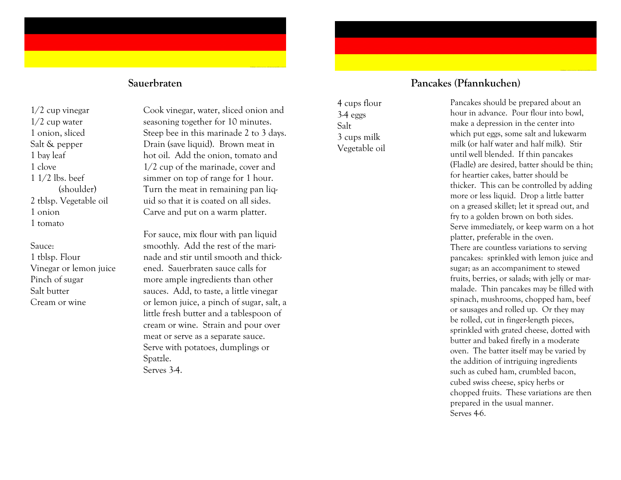1/2 cup vinegar 1/2 cup water 1 onion, sliced Salt & pepper 1 bay leaf 1 clove 1 1/2 lbs. beef (shoulder) 2 tblsp. Vegetable oil 1 onion 1 tomato

#### Sauce:

 1 tblsp. Flour Vinegar or lemon juice Pinch of sugar Salt butter Cream or wine

Cook vinegar, water, sliced onion and seasoning together for 10 minutes. Steep bee in this marinade 2 to 3 days. Drain (save liquid). Brown meat in hot oil. Add the onion, tomato and 1/2 cup of the marinade, cover and simmer on top of range for 1 hour. Turn the meat in remaining pan liquid so that it is coated on all sides. Carve and put on a warm platter.

For sauce, mix flour with pan liquid smoothly. Add the rest of the marinade and stir until smooth and thickened. Sauerbraten sauce calls for more ample ingredients than other sauces. Add, to taste, a little vinegar or lemon juice, a pinch of sugar, salt, a little fresh butter and a tablespoon of cream or wine. Strain and pour over meat or serve as a separate sauce. Serve with potatoes, dumplings or Spatzle. Serves 3-4.

#### Sauerbraten Pancakes (Pfannkuchen)

Serves 4-6.

4 cups flour 3-4 eggs Salt 3 cups milk Vegetable oil Pancakes should be prepared about an hour in advance. Pour flour into bowl, make a depression in the center into which put eggs, some salt and lukewarm milk (or half water and half milk). Stir until well blended. If thin pancakes (Fladle) are desired, batter should be thin; for heartier cakes, batter should be thicker. This can be controlled by adding more or less liquid. Drop a little batter on a greased skillet; let it spread out, and fry to a golden brown on both sides. Serve immediately, or keep warm on a hot platter, preferable in the oven. There are countless variations to serving pancakes: sprinkled with lemon juice and sugar; as an accompaniment to stewed fruits, berries, or salads; with jelly or marmalade. Thin pancakes may be filled with spinach, mushrooms, chopped ham, beef or sausages and rolled up. Or they may be rolled, cut in finger-length pieces, sprinkled with grated cheese, dotted with butter and baked firefly in a moderate oven. The batter itself may be varied by the addition of intriguing ingredients such as cubed ham, crumbled bacon, cubed swiss cheese, spicy herbs or chopped fruits. These variations are then prepared in the usual manner.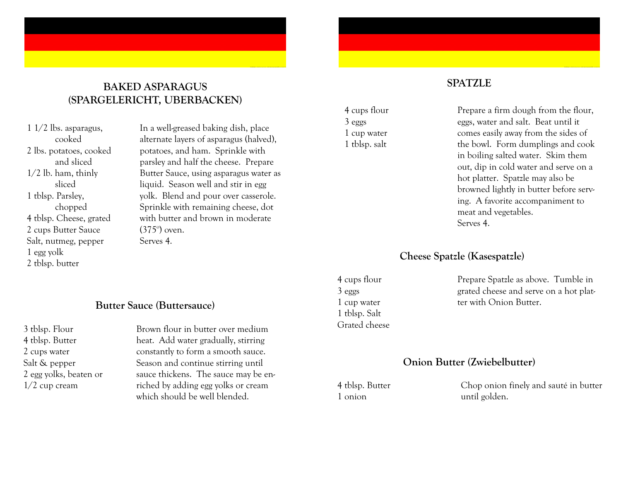#### BAKED ASPARAGUS (SPARGELERICHT, UBERBACKEN)

1 1/2 lbs. asparagus, cooked 2 lbs. potatoes, cooked and sliced 1/2 lb. ham, thinly sliced 1 tblsp. Parsley, chopped 4 tblsp. Cheese, grated 2 cups Butter Sauce Salt, nutmeg, pepper 1 egg yolk 2 tblsp. butter

In a well-greased baking dish, place alternate layers of asparagus (halved), potatoes, and ham. Sprinkle with parsley and half the cheese. Prepare Butter Sauce, using asparagus water as liquid. Season well and stir in egg yolk. Blend and pour over casserole. Sprinkle with remaining cheese, dot with butter and brown in moderate (375°) oven. Serves 4.

#### Butter Sauce (Buttersauce)

3 tblsp. Flour 4 tblsp. Butter 2 cups water Salt & pepper 2 egg yolks, beaten or 1/2 cup cream

Brown flour in butter over medium heat. Add water gradually, stirring constantly to form a smooth sauce. Season and continue stirring until sauce thickens. The sauce may be enriched by adding egg yolks or cream which should be well blended.

3 eggs 1 cup water 1 tblsp. salt

#### **SPATZLE**

4 cups flour

Prepare a firm dough from the flour, eggs, water and salt. Beat until it comes easily away from the sides of the bowl. Form dumplings and cook in boiling salted water. Skim them out, dip in cold water and serve on a hot platter. Spatzle may also be browned lightly in butter before serving. A favorite accompaniment to meat and vegetables. Serves 4.

#### Cheese Spatzle (Kasespatzle)

4 cups flour 3 eggs 1 cup water 1 tblsp. Salt Grated cheese Prepare Spatzle as above. Tumble in grated cheese and serve on a hot platter with Onion Butter.

#### Onion Butter (Zwiebelbutter)

4 tblsp. Butter 1 onion

Chop onion finely and sauté in butter until golden.